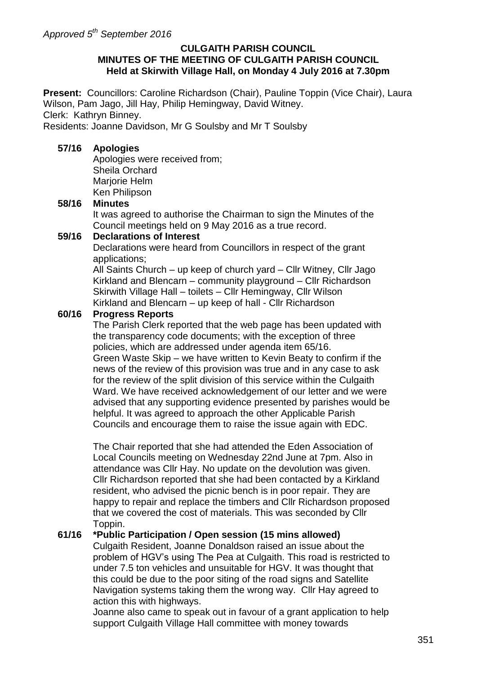#### **CULGAITH PARISH COUNCIL MINUTES OF THE MEETING OF CULGAITH PARISH COUNCIL Held at Skirwith Village Hall, on Monday 4 July 2016 at 7.30pm**

**Present:** Councillors: Caroline Richardson (Chair), Pauline Toppin (Vice Chair), Laura Wilson, Pam Jago, Jill Hay, Philip Hemingway, David Witney. Clerk: Kathryn Binney.

Residents: Joanne Davidson, Mr G Soulsby and Mr T Soulsby

#### **57/16 Apologies**

Apologies were received from; Sheila Orchard Mariorie Helm Ken Philipson

#### **58/16 Minutes**

It was agreed to authorise the Chairman to sign the Minutes of the Council meetings held on 9 May 2016 as a true record.

#### **59/16 Declarations of Interest**

Declarations were heard from Councillors in respect of the grant applications;

All Saints Church – up keep of church yard – Cllr Witney, Cllr Jago Kirkland and Blencarn – community playground – Cllr Richardson Skirwith Village Hall – toilets – Cllr Hemingway, Cllr Wilson Kirkland and Blencarn – up keep of hall - Cllr Richardson

#### **60/16 Progress Reports**

The Parish Clerk reported that the web page has been updated with the transparency code documents; with the exception of three policies, which are addressed under agenda item 65/16. Green Waste Skip – we have written to Kevin Beaty to confirm if the news of the review of this provision was true and in any case to ask for the review of the split division of this service within the Culgaith Ward. We have received acknowledgement of our letter and we were advised that any supporting evidence presented by parishes would be helpful. It was agreed to approach the other Applicable Parish Councils and encourage them to raise the issue again with EDC.

The Chair reported that she had attended the Eden Association of Local Councils meeting on Wednesday 22nd June at 7pm. Also in attendance was Cllr Hay. No update on the devolution was given. Cllr Richardson reported that she had been contacted by a Kirkland resident, who advised the picnic bench is in poor repair. They are happy to repair and replace the timbers and Cllr Richardson proposed that we covered the cost of materials. This was seconded by Cllr Toppin.

#### **61/16 \*Public Participation / Open session (15 mins allowed)**

Culgaith Resident, Joanne Donaldson raised an issue about the problem of HGV's using The Pea at Culgaith. This road is restricted to under 7.5 ton vehicles and unsuitable for HGV. It was thought that this could be due to the poor siting of the road signs and Satellite Navigation systems taking them the wrong way. Cllr Hay agreed to action this with highways.

Joanne also came to speak out in favour of a grant application to help support Culgaith Village Hall committee with money towards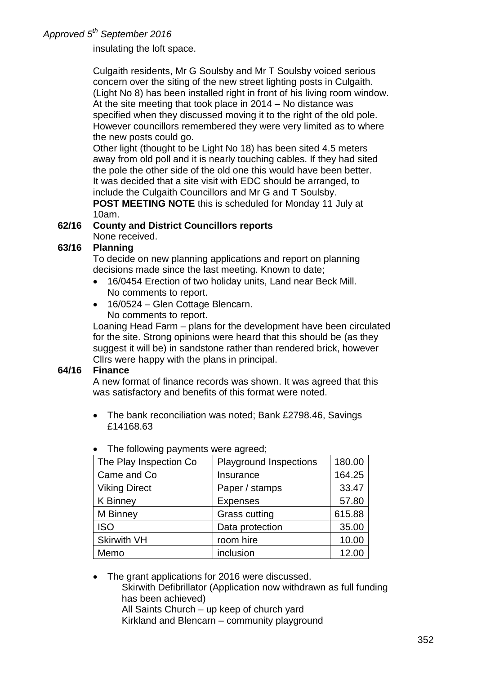*Approved 5th September 2016* 

insulating the loft space.

Culgaith residents, Mr G Soulsby and Mr T Soulsby voiced serious concern over the siting of the new street lighting posts in Culgaith. (Light No 8) has been installed right in front of his living room window. At the site meeting that took place in 2014 – No distance was specified when they discussed moving it to the right of the old pole. However councillors remembered they were very limited as to where the new posts could go.

Other light (thought to be Light No 18) has been sited 4.5 meters away from old poll and it is nearly touching cables. If they had sited the pole the other side of the old one this would have been better. It was decided that a site visit with EDC should be arranged, to include the Culgaith Councillors and Mr G and T Soulsby. **POST MEETING NOTE** this is scheduled for Monday 11 July at 10am.

# **62/16 County and District Councillors reports**

## None received.

## **63/16 Planning**

To decide on new planning applications and report on planning decisions made since the last meeting. Known to date;

- 16/0454 Erection of two holiday units, Land near Beck Mill. No comments to report.
- 16/0524 Glen Cottage Blencarn.

No comments to report.

Loaning Head Farm – plans for the development have been circulated for the site. Strong opinions were heard that this should be (as they suggest it will be) in sandstone rather than rendered brick, however Cllrs were happy with the plans in principal.

## **64/16 Finance**

A new format of finance records was shown. It was agreed that this was satisfactory and benefits of this format were noted.

• The bank reconciliation was noted; Bank £2798.46, Savings £14168.63

| The Play Inspection Co | <b>Playground Inspections</b> | 180.00 |
|------------------------|-------------------------------|--------|
| Came and Co            | Insurance                     | 164.25 |
| <b>Viking Direct</b>   | Paper / stamps                | 33.47  |
| <b>K</b> Binney        | <b>Expenses</b>               | 57.80  |
| M Binney               | <b>Grass cutting</b>          | 615.88 |
| <b>ISO</b>             | Data protection               | 35.00  |
| <b>Skirwith VH</b>     | room hire                     | 10.00  |
| Memo                   | inclusion                     | 12.00  |
|                        |                               |        |

|  | The following payments were agreed; |  |  |  |
|--|-------------------------------------|--|--|--|
|--|-------------------------------------|--|--|--|

 The grant applications for 2016 were discussed. Skirwith Defibrillator (Application now withdrawn as full funding has been achieved) All Saints Church – up keep of church yard Kirkland and Blencarn – community playground